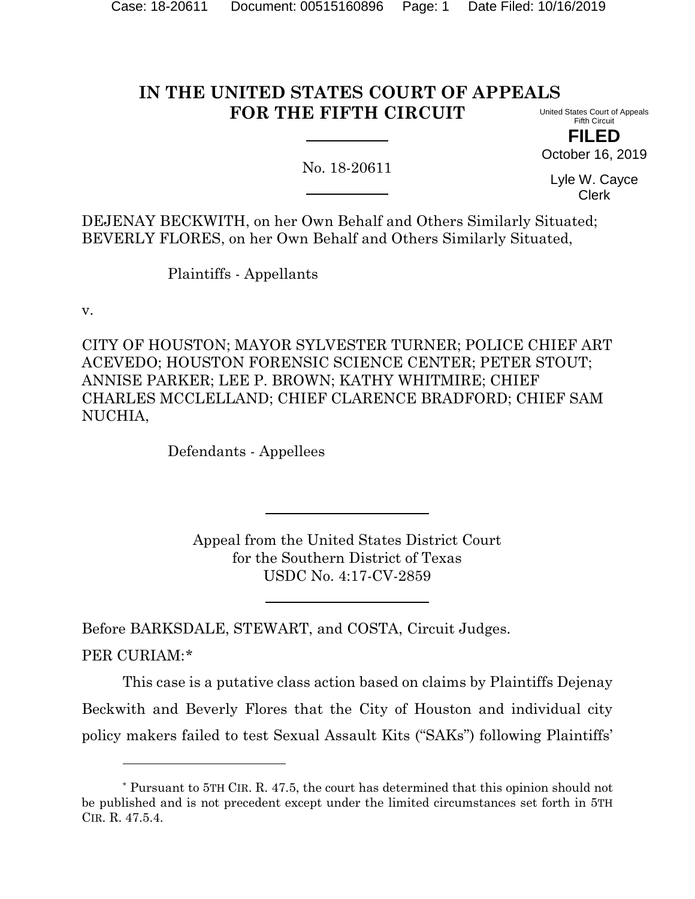## **IN THE UNITED STATES COURT OF APPEALS FOR THE FIFTH CIRCUIT**

United States Court of Appeals Fifth Circuit

**FILED** October 16, 2019

No. 18-20611

Lyle W. Cayce Clerk

DEJENAY BECKWITH, on her Own Behalf and Others Similarly Situated; BEVERLY FLORES, on her Own Behalf and Others Similarly Situated,

Plaintiffs - Appellants

v.

l

CITY OF HOUSTON; MAYOR SYLVESTER TURNER; POLICE CHIEF ART ACEVEDO; HOUSTON FORENSIC SCIENCE CENTER; PETER STOUT; ANNISE PARKER; LEE P. BROWN; KATHY WHITMIRE; CHIEF CHARLES MCCLELLAND; CHIEF CLARENCE BRADFORD; CHIEF SAM NUCHIA,

Defendants - Appellees

Appeal from the United States District Court for the Southern District of Texas USDC No. 4:17-CV-2859

Before BARKSDALE, STEWART, and COSTA, Circuit Judges. PER CURIAM:[\\*](#page-0-0)

This case is a putative class action based on claims by Plaintiffs Dejenay Beckwith and Beverly Flores that the City of Houston and individual city policy makers failed to test Sexual Assault Kits ("SAKs") following Plaintiffs'

<span id="page-0-0"></span><sup>\*</sup> Pursuant to 5TH CIR. R. 47.5, the court has determined that this opinion should not be published and is not precedent except under the limited circumstances set forth in 5TH CIR. R. 47.5.4.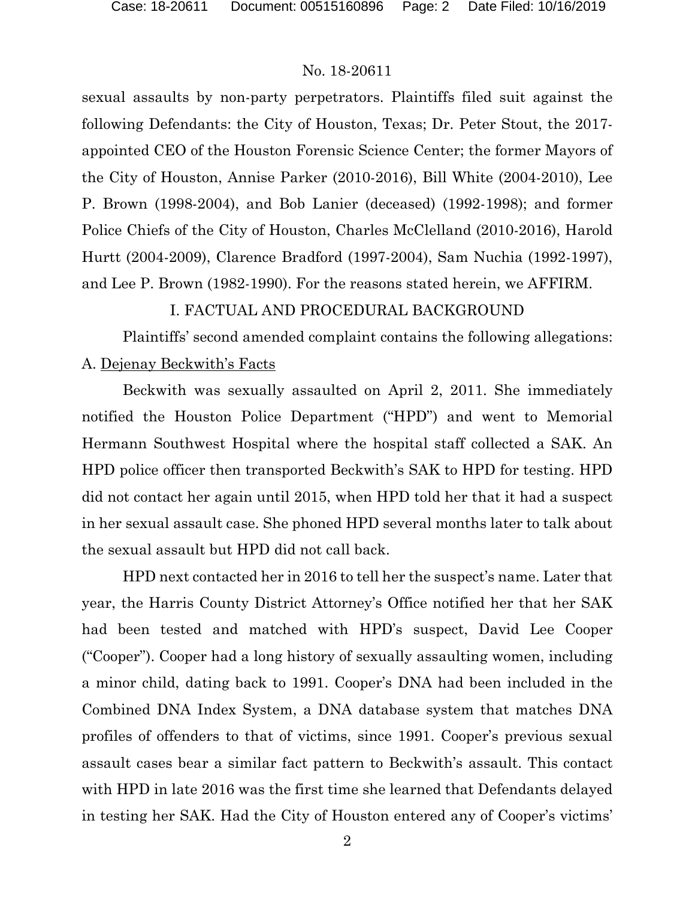sexual assaults by non-party perpetrators. Plaintiffs filed suit against the following Defendants: the City of Houston, Texas; Dr. Peter Stout, the 2017 appointed CEO of the Houston Forensic Science Center; the former Mayors of the City of Houston, Annise Parker (2010-2016), Bill White (2004-2010), Lee P. Brown (1998-2004), and Bob Lanier (deceased) (1992-1998); and former Police Chiefs of the City of Houston, Charles McClelland (2010-2016), Harold Hurtt (2004-2009), Clarence Bradford (1997-2004), Sam Nuchia (1992-1997), and Lee P. Brown (1982-1990). For the reasons stated herein, we AFFIRM.

#### I. FACTUAL AND PROCEDURAL BACKGROUND

Plaintiffs' second amended complaint contains the following allegations: A. Dejenay Beckwith's Facts

Beckwith was sexually assaulted on April 2, 2011. She immediately notified the Houston Police Department ("HPD") and went to Memorial Hermann Southwest Hospital where the hospital staff collected a SAK. An HPD police officer then transported Beckwith's SAK to HPD for testing. HPD did not contact her again until 2015, when HPD told her that it had a suspect in her sexual assault case. She phoned HPD several months later to talk about the sexual assault but HPD did not call back.

HPD next contacted her in 2016 to tell her the suspect's name. Later that year, the Harris County District Attorney's Office notified her that her SAK had been tested and matched with HPD's suspect, David Lee Cooper ("Cooper"). Cooper had a long history of sexually assaulting women, including a minor child, dating back to 1991. Cooper's DNA had been included in the Combined DNA Index System, a DNA database system that matches DNA profiles of offenders to that of victims, since 1991. Cooper's previous sexual assault cases bear a similar fact pattern to Beckwith's assault. This contact with HPD in late 2016 was the first time she learned that Defendants delayed in testing her SAK. Had the City of Houston entered any of Cooper's victims'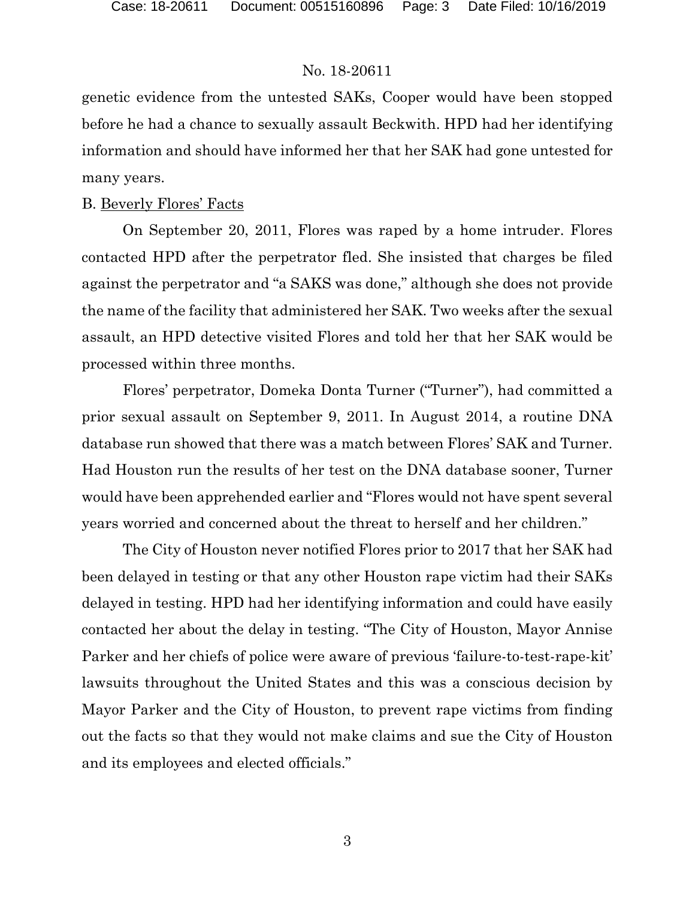genetic evidence from the untested SAKs, Cooper would have been stopped before he had a chance to sexually assault Beckwith. HPD had her identifying information and should have informed her that her SAK had gone untested for many years.

## B. Beverly Flores' Facts

On September 20, 2011, Flores was raped by a home intruder. Flores contacted HPD after the perpetrator fled. She insisted that charges be filed against the perpetrator and "a SAKS was done," although she does not provide the name of the facility that administered her SAK. Two weeks after the sexual assault, an HPD detective visited Flores and told her that her SAK would be processed within three months.

Flores' perpetrator, Domeka Donta Turner ("Turner"), had committed a prior sexual assault on September 9, 2011. In August 2014, a routine DNA database run showed that there was a match between Flores' SAK and Turner. Had Houston run the results of her test on the DNA database sooner, Turner would have been apprehended earlier and "Flores would not have spent several years worried and concerned about the threat to herself and her children."

The City of Houston never notified Flores prior to 2017 that her SAK had been delayed in testing or that any other Houston rape victim had their SAKs delayed in testing. HPD had her identifying information and could have easily contacted her about the delay in testing. "The City of Houston, Mayor Annise Parker and her chiefs of police were aware of previous 'failure-to-test-rape-kit' lawsuits throughout the United States and this was a conscious decision by Mayor Parker and the City of Houston, to prevent rape victims from finding out the facts so that they would not make claims and sue the City of Houston and its employees and elected officials."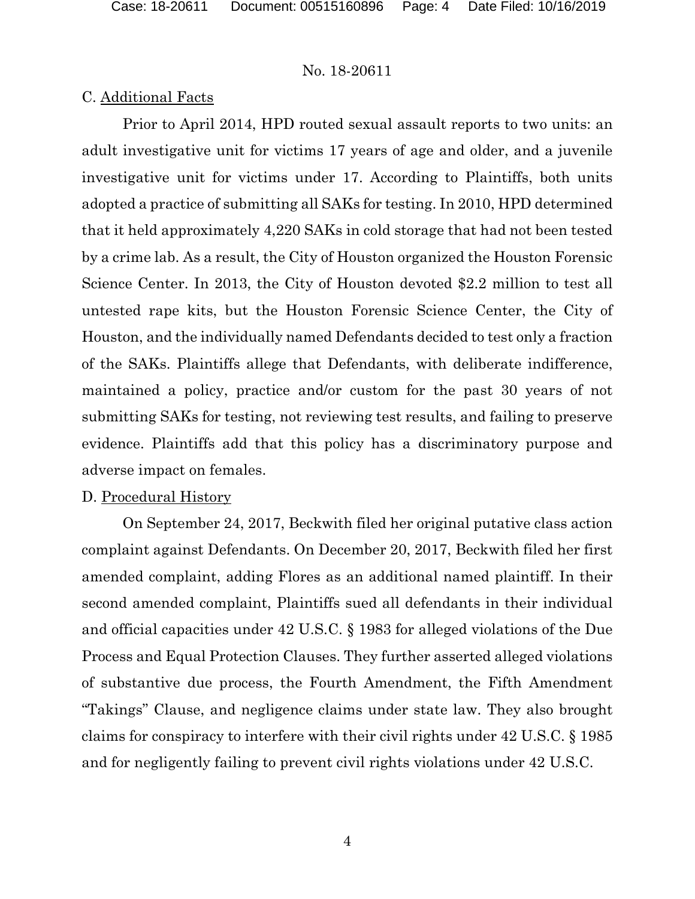### C. Additional Facts

Prior to April 2014, HPD routed sexual assault reports to two units: an adult investigative unit for victims 17 years of age and older, and a juvenile investigative unit for victims under 17. According to Plaintiffs, both units adopted a practice of submitting all SAKs for testing. In 2010, HPD determined that it held approximately 4,220 SAKs in cold storage that had not been tested by a crime lab. As a result, the City of Houston organized the Houston Forensic Science Center. In 2013, the City of Houston devoted \$2.2 million to test all untested rape kits, but the Houston Forensic Science Center, the City of Houston, and the individually named Defendants decided to test only a fraction of the SAKs. Plaintiffs allege that Defendants, with deliberate indifference, maintained a policy, practice and/or custom for the past 30 years of not submitting SAKs for testing, not reviewing test results, and failing to preserve evidence. Plaintiffs add that this policy has a discriminatory purpose and adverse impact on females.

#### D. Procedural History

On September 24, 2017, Beckwith filed her original putative class action complaint against Defendants. On December 20, 2017, Beckwith filed her first amended complaint, adding Flores as an additional named plaintiff. In their second amended complaint, Plaintiffs sued all defendants in their individual and official capacities under 42 U.S.C. § 1983 for alleged violations of the Due Process and Equal Protection Clauses. They further asserted alleged violations of substantive due process, the Fourth Amendment, the Fifth Amendment "Takings" Clause, and negligence claims under state law. They also brought claims for conspiracy to interfere with their civil rights under 42 U.S.C. § 1985 and for negligently failing to prevent civil rights violations under 42 U.S.C.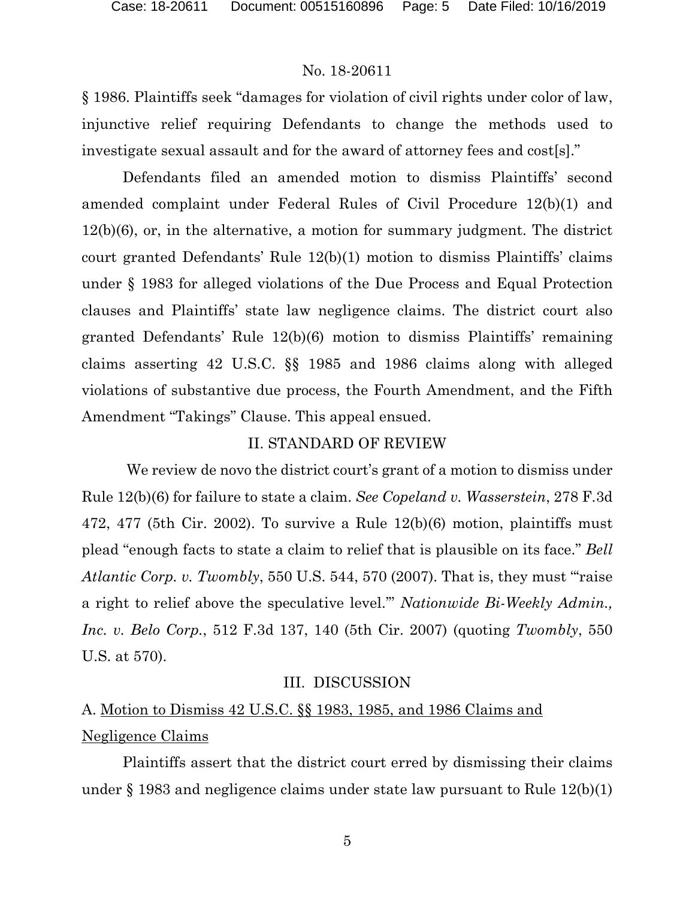§ 1986. Plaintiffs seek "damages for violation of civil rights under color of law, injunctive relief requiring Defendants to change the methods used to investigate sexual assault and for the award of attorney fees and cost[s]."

Defendants filed an amended motion to dismiss Plaintiffs' second amended complaint under Federal Rules of Civil Procedure 12(b)(1) and 12(b)(6), or, in the alternative, a motion for summary judgment. The district court granted Defendants' Rule 12(b)(1) motion to dismiss Plaintiffs' claims under § 1983 for alleged violations of the Due Process and Equal Protection clauses and Plaintiffs' state law negligence claims. The district court also granted Defendants' Rule 12(b)(6) motion to dismiss Plaintiffs' remaining claims asserting 42 U.S.C. §§ 1985 and 1986 claims along with alleged violations of substantive due process, the Fourth Amendment, and the Fifth Amendment "Takings" Clause. This appeal ensued.

#### II. STANDARD OF REVIEW

We review de novo the district court's grant of a motion to dismiss under Rule 12(b)(6) for failure to state a claim. *See Copeland v. Wasserstein*, 278 F.3d 472, 477 (5th Cir. 2002). To survive a Rule 12(b)(6) motion, plaintiffs must plead "enough facts to state a claim to relief that is plausible on its face." *Bell Atlantic Corp. v. Twombly*, 550 U.S. 544, 570 (2007). That is, they must "'raise a right to relief above the speculative level.'" *Nationwide Bi-Weekly Admin., Inc. v. Belo Corp.*, 512 F.3d 137, 140 (5th Cir. 2007) (quoting *Twombly*, 550 U.S. at 570).

#### III. DISCUSSION

# A. Motion to Dismiss 42 U.S.C. §§ 1983, 1985, and 1986 Claims and Negligence Claims

Plaintiffs assert that the district court erred by dismissing their claims under § 1983 and negligence claims under state law pursuant to Rule 12(b)(1)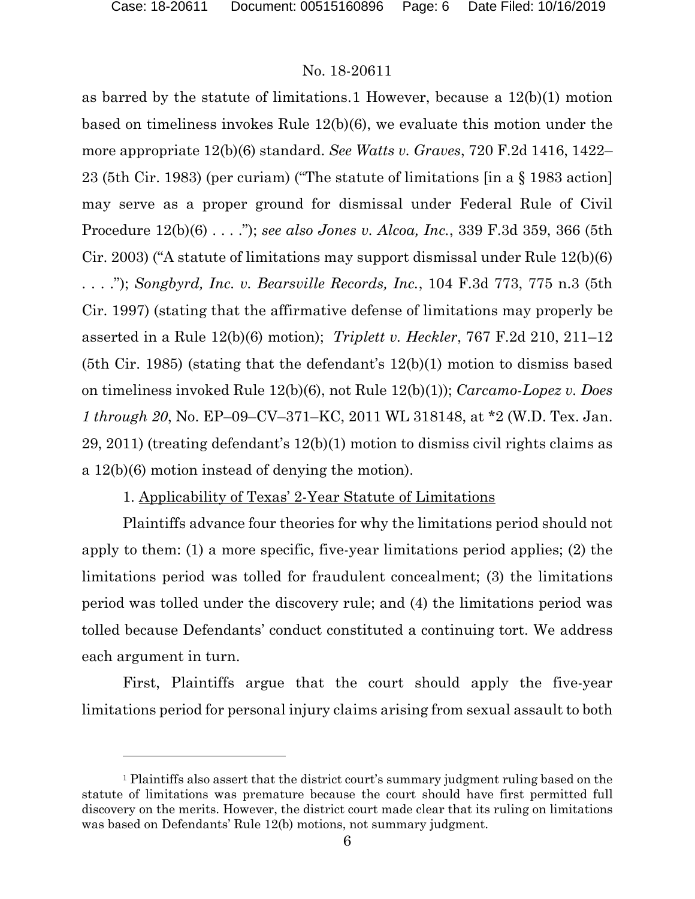$\overline{a}$ 

#### No. 18-20611

as barred by the statute of limitations.[1](#page-5-0) However, because a 12(b)(1) motion based on timeliness invokes Rule 12(b)(6), we evaluate this motion under the more appropriate 12(b)(6) standard. *See Watts v. Graves*, 720 F.2d 1416, 1422– 23 (5th Cir. 1983) (per curiam) ("The statute of limitations [in a § 1983 action] may serve as a proper ground for dismissal under Federal Rule of Civil Procedure 12(b)(6) . . . ."); *see also Jones v. Alcoa, Inc.*, 339 F.3d 359, 366 (5th Cir. 2003) ("A statute of limitations may support dismissal under Rule 12(b)(6) . . . ."); *Songbyrd, Inc. v. Bearsville Records, Inc.*, 104 F.3d 773, 775 n.3 (5th Cir. 1997) (stating that the affirmative defense of limitations may properly be asserted in a Rule 12(b)(6) motion); *Triplett v. Heckler*, 767 F.2d 210, 211–12 (5th Cir. 1985) (stating that the defendant's 12(b)(1) motion to dismiss based on timeliness invoked Rule 12(b)(6), not Rule 12(b)(1)); *Carcamo-Lopez v. Does 1 through 20*, No. EP–09–CV–371–KC, 2011 WL 318148, at \*2 (W.D. Tex. Jan. 29, 2011) (treating defendant's 12(b)(1) motion to dismiss civil rights claims as a 12(b)(6) motion instead of denying the motion).

1. Applicability of Texas' 2-Year Statute of Limitations

Plaintiffs advance four theories for why the limitations period should not apply to them: (1) a more specific, five-year limitations period applies; (2) the limitations period was tolled for fraudulent concealment; (3) the limitations period was tolled under the discovery rule; and (4) the limitations period was tolled because Defendants' conduct constituted a continuing tort. We address each argument in turn.

First, Plaintiffs argue that the court should apply the five-year limitations period for personal injury claims arising from sexual assault to both

<span id="page-5-0"></span><sup>&</sup>lt;sup>1</sup> Plaintiffs also assert that the district court's summary judgment ruling based on the statute of limitations was premature because the court should have first permitted full discovery on the merits. However, the district court made clear that its ruling on limitations was based on Defendants' Rule 12(b) motions, not summary judgment.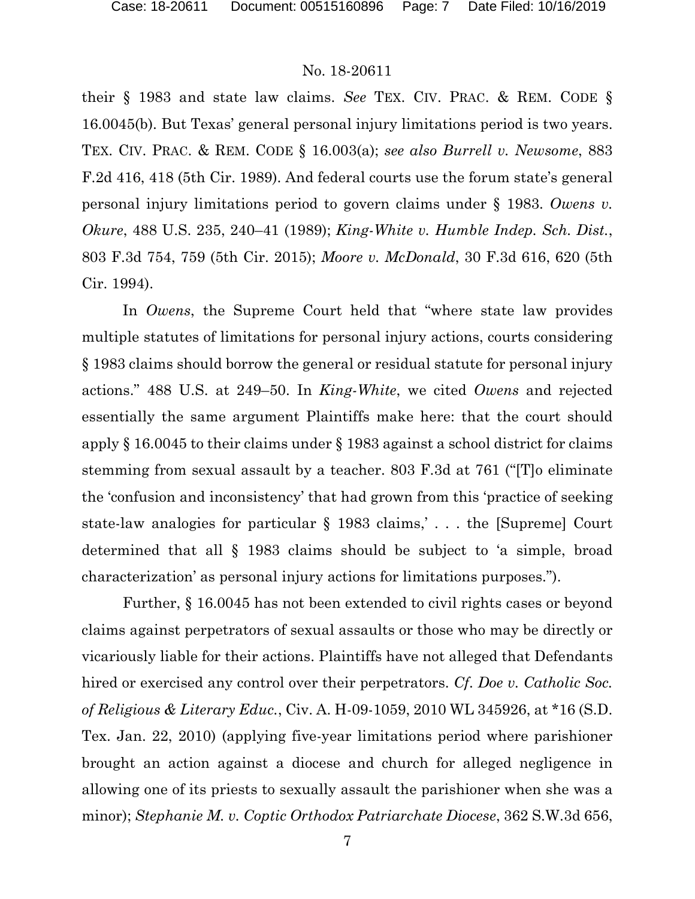their § 1983 and state law claims. *See* TEX. CIV. PRAC. & REM. CODE § 16.0045(b). But Texas' general personal injury limitations period is two years. TEX. CIV. PRAC. & REM. CODE § 16.003(a); *see also Burrell v. Newsome*, 883 F.2d 416, 418 (5th Cir. 1989). And federal courts use the forum state's general personal injury limitations period to govern claims under § 1983. *Owens v. Okure*, 488 U.S. 235, 240–41 (1989); *King-White v. Humble Indep. Sch. Dist.*, 803 F.3d 754, 759 (5th Cir. 2015); *Moore v. McDonald*, 30 F.3d 616, 620 (5th Cir. 1994).

In *Owens*, the Supreme Court held that "where state law provides multiple statutes of limitations for personal injury actions, courts considering § 1983 claims should borrow the general or residual statute for personal injury actions." 488 U.S. at 249–50. In *King-White*, we cited *Owens* and rejected essentially the same argument Plaintiffs make here: that the court should apply § 16.0045 to their claims under § 1983 against a school district for claims stemming from sexual assault by a teacher. 803 F.3d at 761 ("[T]o eliminate the 'confusion and inconsistency' that had grown from this 'practice of seeking state-law analogies for particular § 1983 claims,' . . . the [Supreme] Court determined that all § 1983 claims should be subject to 'a simple, broad characterization' as personal injury actions for limitations purposes.").

Further, § 16.0045 has not been extended to civil rights cases or beyond claims against perpetrators of sexual assaults or those who may be directly or vicariously liable for their actions. Plaintiffs have not alleged that Defendants hired or exercised any control over their perpetrators. *Cf*. *Doe v. Catholic Soc. of Religious & Literary Educ.*, Civ. A. H-09-1059, 2010 WL 345926, at \*16 (S.D. Tex. Jan. 22, 2010) (applying five-year limitations period where parishioner brought an action against a diocese and church for alleged negligence in allowing one of its priests to sexually assault the parishioner when she was a minor); *Stephanie M. v. Coptic Orthodox Patriarchate Diocese*, 362 S.W.3d 656,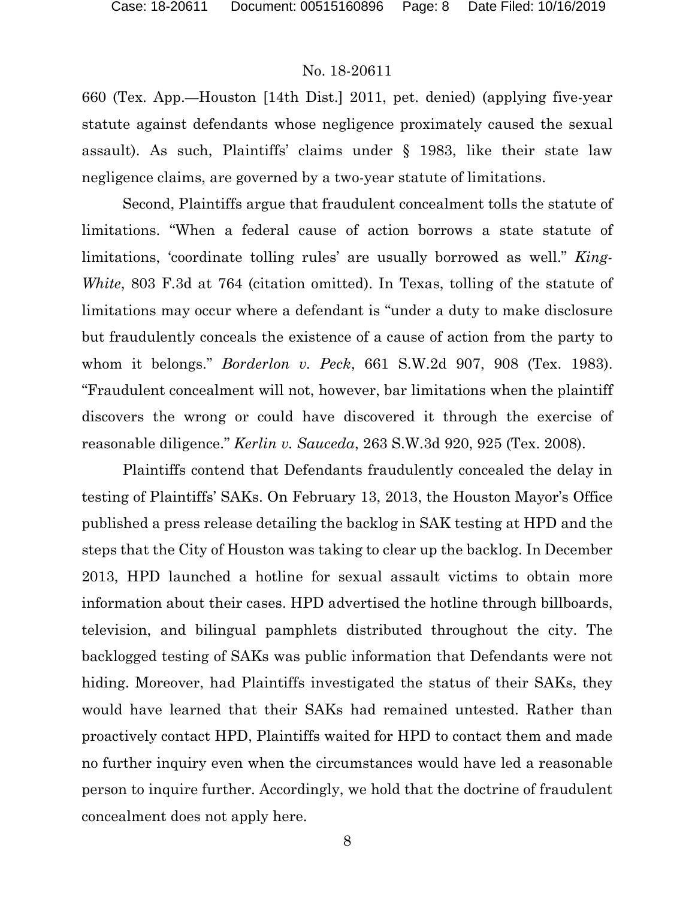660 (Tex. App.—Houston [14th Dist.] 2011, pet. denied) (applying five-year statute against defendants whose negligence proximately caused the sexual assault). As such, Plaintiffs' claims under § 1983, like their state law negligence claims, are governed by a two-year statute of limitations.

Second, Plaintiffs argue that fraudulent concealment tolls the statute of limitations. "When a federal cause of action borrows a state statute of limitations, 'coordinate tolling rules' are usually borrowed as well." *King-White*, 803 F.3d at 764 (citation omitted). In Texas, tolling of the statute of limitations may occur where a defendant is "under a duty to make disclosure but fraudulently conceals the existence of a cause of action from the party to whom it belongs." *Borderlon v. Peck*, 661 S.W.2d 907, 908 (Tex. 1983). "Fraudulent concealment will not, however, bar limitations when the plaintiff discovers the wrong or could have discovered it through the exercise of reasonable diligence." *Kerlin v. Sauceda*, 263 S.W.3d 920, 925 (Tex. 2008).

Plaintiffs contend that Defendants fraudulently concealed the delay in testing of Plaintiffs' SAKs. On February 13, 2013, the Houston Mayor's Office published a press release detailing the backlog in SAK testing at HPD and the steps that the City of Houston was taking to clear up the backlog. In December 2013, HPD launched a hotline for sexual assault victims to obtain more information about their cases. HPD advertised the hotline through billboards, television, and bilingual pamphlets distributed throughout the city. The backlogged testing of SAKs was public information that Defendants were not hiding. Moreover, had Plaintiffs investigated the status of their SAKs, they would have learned that their SAKs had remained untested. Rather than proactively contact HPD, Plaintiffs waited for HPD to contact them and made no further inquiry even when the circumstances would have led a reasonable person to inquire further. Accordingly, we hold that the doctrine of fraudulent concealment does not apply here.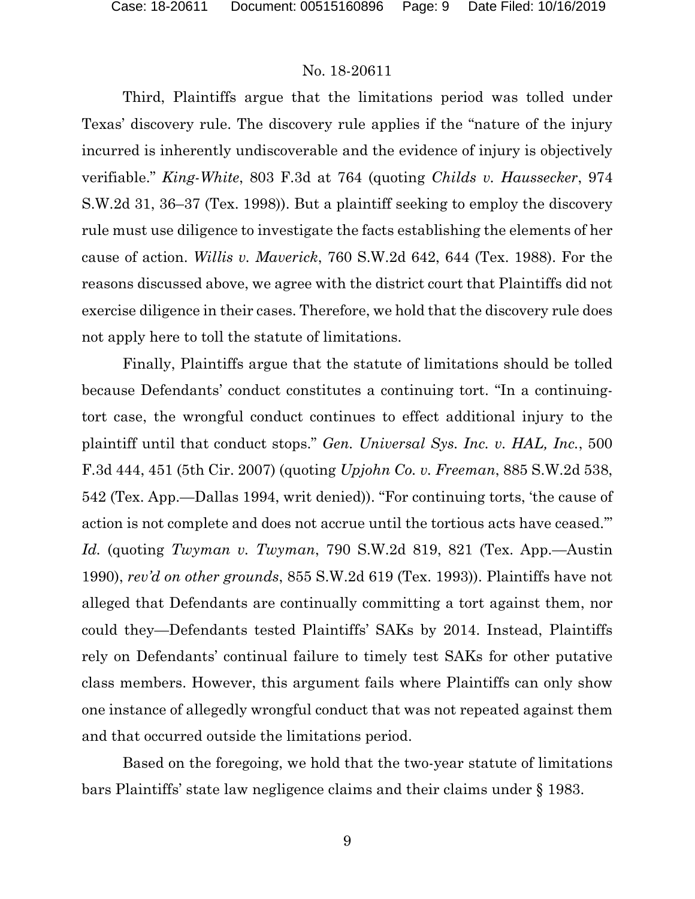Third, Plaintiffs argue that the limitations period was tolled under Texas' discovery rule. The discovery rule applies if the "nature of the injury incurred is inherently undiscoverable and the evidence of injury is objectively verifiable." *King-White*, 803 F.3d at 764 (quoting *Childs v. Haussecker*, 974 S.W.2d 31, 36–37 (Tex. 1998)). But a plaintiff seeking to employ the discovery rule must use diligence to investigate the facts establishing the elements of her cause of action. *Willis v. Maverick*, 760 S.W.2d 642, 644 (Tex. 1988). For the reasons discussed above, we agree with the district court that Plaintiffs did not exercise diligence in their cases. Therefore, we hold that the discovery rule does not apply here to toll the statute of limitations.

Finally, Plaintiffs argue that the statute of limitations should be tolled because Defendants' conduct constitutes a continuing tort. "In a continuingtort case, the wrongful conduct continues to effect additional injury to the plaintiff until that conduct stops." *Gen. Universal Sys. Inc. v. HAL, Inc.*, 500 F.3d 444, 451 (5th Cir. 2007) (quoting *Upjohn Co. v. Freeman*, 885 S.W.2d 538, 542 (Tex. App.—Dallas 1994, writ denied)). "For continuing torts, 'the cause of action is not complete and does not accrue until the tortious acts have ceased.'" *Id.* (quoting *Twyman v. Twyman*, 790 S.W.2d 819, 821 (Tex. App.—Austin 1990), *rev'd on other grounds*, 855 S.W.2d 619 (Tex. 1993)). Plaintiffs have not alleged that Defendants are continually committing a tort against them, nor could they—Defendants tested Plaintiffs' SAKs by 2014. Instead, Plaintiffs rely on Defendants' continual failure to timely test SAKs for other putative class members. However, this argument fails where Plaintiffs can only show one instance of allegedly wrongful conduct that was not repeated against them and that occurred outside the limitations period.

Based on the foregoing, we hold that the two-year statute of limitations bars Plaintiffs' state law negligence claims and their claims under § 1983.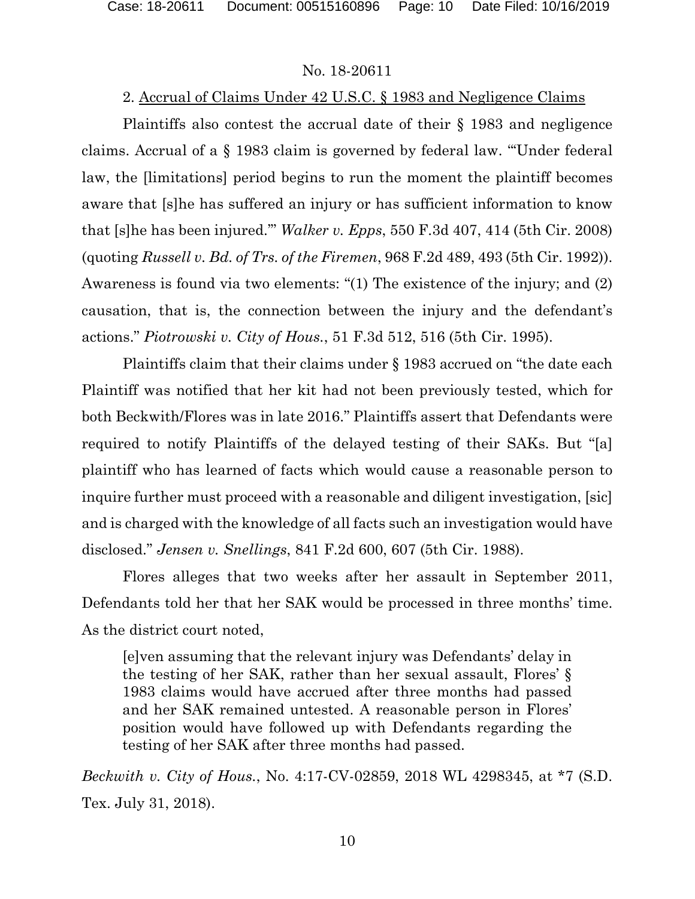## 2. Accrual of Claims Under 42 U.S.C. § 1983 and Negligence Claims

Plaintiffs also contest the accrual date of their § 1983 and negligence claims. Accrual of a § 1983 claim is governed by federal law. "'Under federal law, the [limitations] period begins to run the moment the plaintiff becomes aware that [s]he has suffered an injury or has sufficient information to know that [s]he has been injured.'" *Walker v. Epps*, 550 F.3d 407, 414 (5th Cir. 2008) (quoting *Russell v. Bd. of Trs. of the Firemen*, 968 F.2d 489, 493 (5th Cir. 1992)). Awareness is found via two elements: "(1) The existence of the injury; and (2) causation, that is, the connection between the injury and the defendant's actions." *Piotrowski v. City of Hous.*, 51 F.3d 512, 516 (5th Cir. 1995).

Plaintiffs claim that their claims under § 1983 accrued on "the date each Plaintiff was notified that her kit had not been previously tested, which for both Beckwith/Flores was in late 2016." Plaintiffs assert that Defendants were required to notify Plaintiffs of the delayed testing of their SAKs. But "[a] plaintiff who has learned of facts which would cause a reasonable person to inquire further must proceed with a reasonable and diligent investigation, [sic] and is charged with the knowledge of all facts such an investigation would have disclosed." *Jensen v. Snellings*, 841 F.2d 600, 607 (5th Cir. 1988).

Flores alleges that two weeks after her assault in September 2011, Defendants told her that her SAK would be processed in three months' time. As the district court noted,

[e]ven assuming that the relevant injury was Defendants' delay in the testing of her SAK, rather than her sexual assault, Flores' § 1983 claims would have accrued after three months had passed and her SAK remained untested. A reasonable person in Flores' position would have followed up with Defendants regarding the testing of her SAK after three months had passed.

*Beckwith v. City of Hous.*, No. 4:17-CV-02859, 2018 WL 4298345, at \*7 (S.D. Tex. July 31, 2018).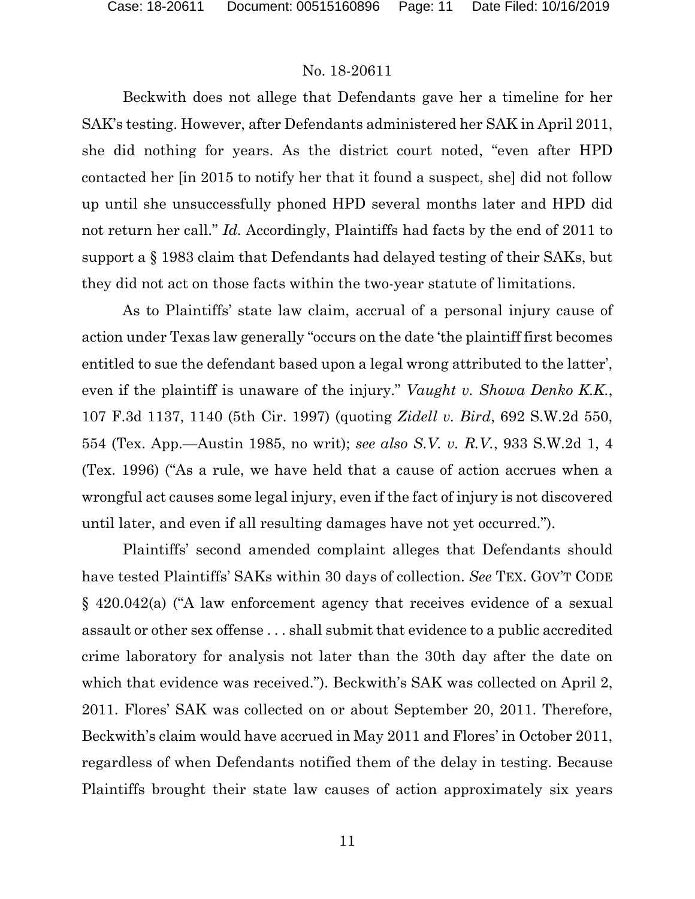Beckwith does not allege that Defendants gave her a timeline for her SAK's testing. However, after Defendants administered her SAK in April 2011, she did nothing for years. As the district court noted, "even after HPD contacted her [in 2015 to notify her that it found a suspect, she] did not follow up until she unsuccessfully phoned HPD several months later and HPD did not return her call." *Id.* Accordingly, Plaintiffs had facts by the end of 2011 to support a § 1983 claim that Defendants had delayed testing of their SAKs, but they did not act on those facts within the two-year statute of limitations.

As to Plaintiffs' state law claim, accrual of a personal injury cause of action under Texas law generally "occurs on the date 'the plaintiff first becomes entitled to sue the defendant based upon a legal wrong attributed to the latter', even if the plaintiff is unaware of the injury." *Vaught v. Showa Denko K.K.*, 107 F.3d 1137, 1140 (5th Cir. 1997) (quoting *Zidell v. Bird*, 692 S.W.2d 550, 554 (Tex. App.—Austin 1985, no writ); *see also S.V. v. R.V.*, 933 S.W.2d 1, 4 (Tex. 1996) ("As a rule, we have held that a cause of action accrues when a wrongful act causes some legal injury, even if the fact of injury is not discovered until later, and even if all resulting damages have not yet occurred.").

Plaintiffs' second amended complaint alleges that Defendants should have tested Plaintiffs' SAKs within 30 days of collection. *See* TEX. GOV'T CODE § 420.042(a) ("A law enforcement agency that receives evidence of a sexual assault or other sex offense . . . shall submit that evidence to a public accredited crime laboratory for analysis not later than the 30th day after the date on which that evidence was received."). Beckwith's SAK was collected on April 2, 2011. Flores' SAK was collected on or about September 20, 2011. Therefore, Beckwith's claim would have accrued in May 2011 and Flores' in October 2011, regardless of when Defendants notified them of the delay in testing. Because Plaintiffs brought their state law causes of action approximately six years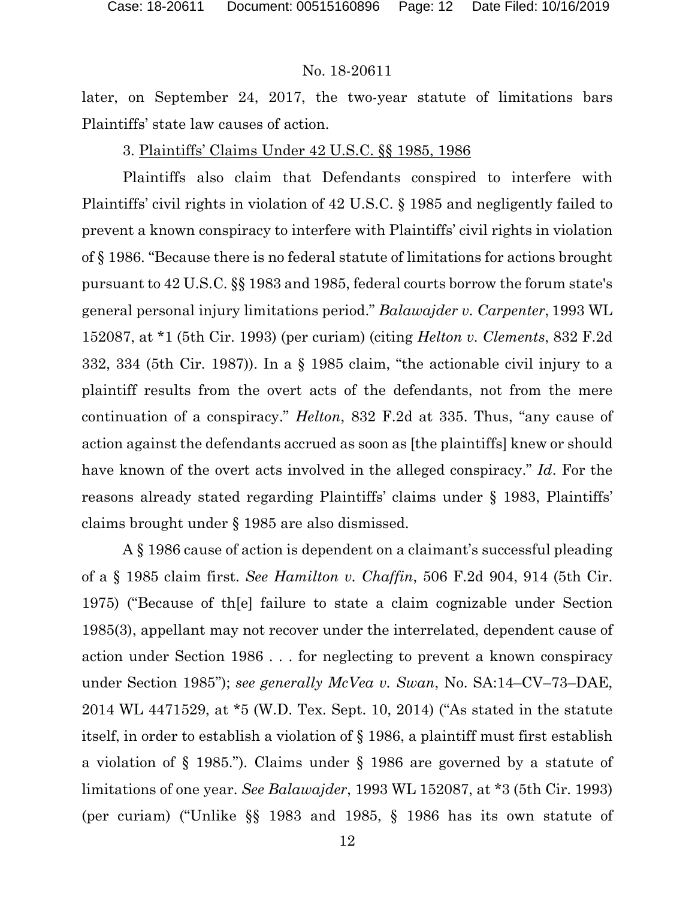later, on September 24, 2017, the two-year statute of limitations bars Plaintiffs' state law causes of action.

## 3. Plaintiffs' Claims Under 42 U.S.C. §§ 1985, 1986

Plaintiffs also claim that Defendants conspired to interfere with Plaintiffs' civil rights in violation of 42 U.S.C. § 1985 and negligently failed to prevent a known conspiracy to interfere with Plaintiffs' civil rights in violation of § 1986. "Because there is no federal statute of limitations for actions brought pursuant to 42 U.S.C. §§ 1983 and 1985, federal courts borrow the forum state's general personal injury limitations period." *Balawajder v. Carpenter*, 1993 WL 152087, at \*1 (5th Cir. 1993) (per curiam) (citing *Helton v. Clements*, 832 F.2d 332, 334 (5th Cir. 1987)). In a § 1985 claim, "the actionable civil injury to a plaintiff results from the overt acts of the defendants, not from the mere continuation of a conspiracy." *Helton*, 832 F.2d at 335. Thus, "any cause of action against the defendants accrued as soon as [the plaintiffs] knew or should have known of the overt acts involved in the alleged conspiracy." *Id*. For the reasons already stated regarding Plaintiffs' claims under § 1983, Plaintiffs' claims brought under § 1985 are also dismissed.

A § 1986 cause of action is dependent on a claimant's successful pleading of a § 1985 claim first. *See Hamilton v. Chaffin*, 506 F.2d 904, 914 (5th Cir. 1975) ("Because of th[e] failure to state a claim cognizable under Section 1985(3), appellant may not recover under the interrelated, dependent cause of action under Section 1986 . . . for neglecting to prevent a known conspiracy under Section 1985"); *see generally McVea v. Swan*, No. SA:14–CV–73–DAE, 2014 WL 4471529, at \*5 (W.D. Tex. Sept. 10, 2014) ("As stated in the statute itself, in order to establish a violation of § 1986, a plaintiff must first establish a violation of § 1985."). Claims under § 1986 are governed by a statute of limitations of one year. *See Balawajder*, 1993 WL 152087, at \*3 (5th Cir. 1993) (per curiam) ("Unlike §§ 1983 and 1985, § 1986 has its own statute of